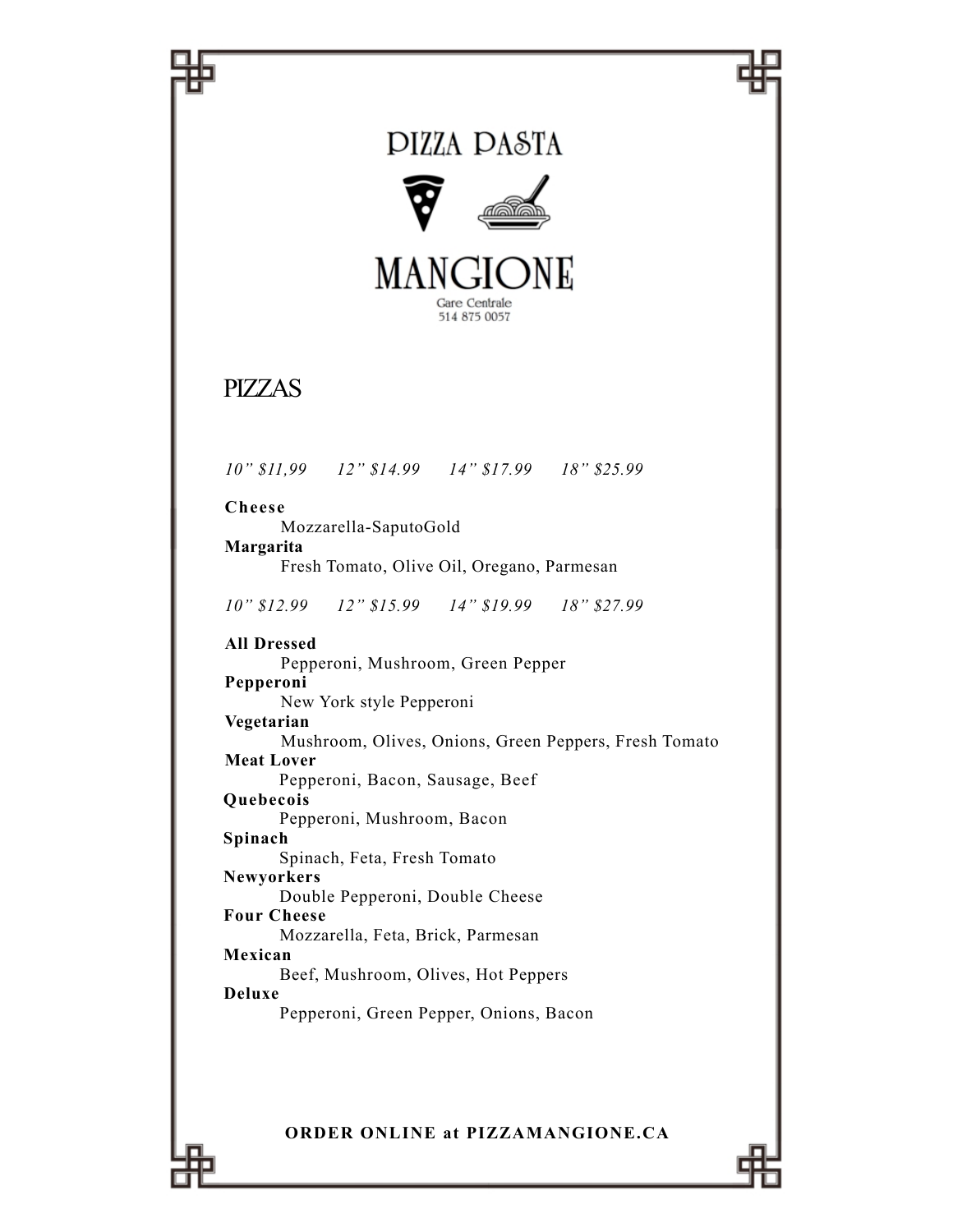